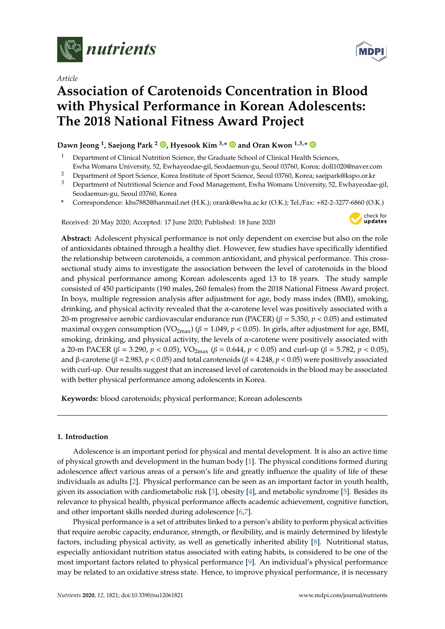

*Article*

# **MDP**

## **Association of Carotenoids Concentration in Blood with Physical Performance in Korean Adolescents: The 2018 National Fitness Award Project**

### **Dawn Jeong <sup>1</sup> , Saejong Park <sup>2</sup> [,](https://orcid.org/0000-0001-7229-5790) Hyesook Kim 3,\* and Oran Kwon 1,3,\***

- <sup>1</sup> Department of Clinical Nutrition Science, the Graduate School of Clinical Health Sciences, Ewha Womans University, 52, Ewhayeodae-gil, Seodaemun-gu, Seoul 03760, Korea; doll1020@naver.com
- <sup>2</sup> Department of Sport Science, Korea Institute of Sport Science, Seoul 03760, Korea; saejpark@kspo.or.kr<br><sup>3</sup> Department of Nutritional Science and Eood Management, Eutha Womans University 52, Euthayeodae
- <sup>3</sup> Department of Nutritional Science and Food Management, Ewha Womans University, 52, Ewhayeodae-gil, Seodaemun-gu, Seoul 03760, Korea
- **\*** Correspondence: khs7882@hanmail.net (H.K.); orank@ewha.ac.kr (O.K.); Tel./Fax: +82-2-3277-6860 (O.K.)

Received: 20 May 2020; Accepted: 17 June 2020; Published: 18 June 2020



**Abstract:** Adolescent physical performance is not only dependent on exercise but also on the role of antioxidants obtained through a healthy diet. However, few studies have specifically identified the relationship between carotenoids, a common antioxidant, and physical performance. This crosssectional study aims to investigate the association between the level of carotenoids in the blood and physical performance among Korean adolescents aged 13 to 18 years. The study sample consisted of 450 participants (190 males, 260 females) from the 2018 National Fitness Award project. In boys, multiple regression analysis after adjustment for age, body mass index (BMI), smoking, drinking, and physical activity revealed that the  $\alpha$ -carotene level was positively associated with a 20-m progressive aerobic cardiovascular endurance run (PACER) (β = 5.350, *p* < 0.05) and estimated maximal oxygen consumption (VO<sub>2max</sub>) ( $\beta$  = 1.049,  $p$  < 0.05). In girls, after adjustment for age, BMI, smoking, drinking, and physical activity, the levels of  $\alpha$ -carotene were positively associated with a 20-m PACER (β = 3.290,  $p < 0.05$ ), VO<sub>2max</sub> (β = 0.644,  $p < 0.05$ ) and curl-up (β = 5.782,  $p < 0.05$ ), and β-carotene (β = 2.983, *p* < 0.05) and total carotenoids (β = 4.248, *p* < 0.05) were positively associated with curl-up. Our results suggest that an increased level of carotenoids in the blood may be associated with better physical performance among adolescents in Korea.

**Keywords:** blood carotenoids; physical performance; Korean adolescents

#### **1. Introduction**

Adolescence is an important period for physical and mental development. It is also an active time of physical growth and development in the human body [\[1\]](#page-9-0). The physical conditions formed during adolescence affect various areas of a person's life and greatly influence the quality of life of these individuals as adults [\[2\]](#page-9-1). Physical performance can be seen as an important factor in youth health, given its association with cardiometabolic risk [\[3\]](#page-9-2), obesity [\[4\]](#page-9-3), and metabolic syndrome [\[5\]](#page-9-4). Besides its relevance to physical health, physical performance affects academic achievement, cognitive function, and other important skills needed during adolescence [\[6](#page-9-5)[,7\]](#page-9-6).

Physical performance is a set of attributes linked to a person's ability to perform physical activities that require aerobic capacity, endurance, strength, or flexibility, and is mainly determined by lifestyle factors, including physical activity, as well as genetically inherited ability [\[8\]](#page-9-7). Nutritional status, especially antioxidant nutrition status associated with eating habits, is considered to be one of the most important factors related to physical performance [\[9\]](#page-9-8). An individual's physical performance may be related to an oxidative stress state. Hence, to improve physical performance, it is necessary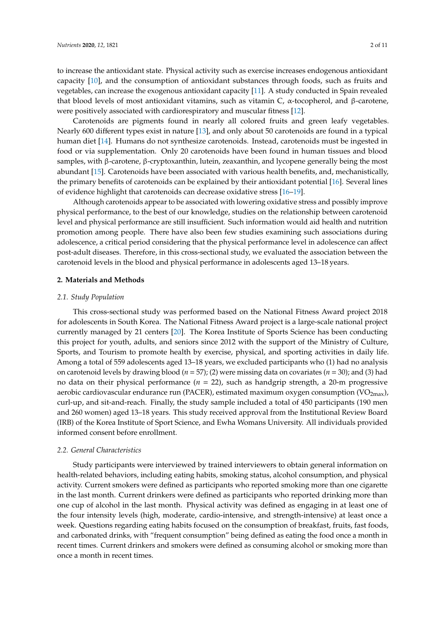to increase the antioxidant state. Physical activity such as exercise increases endogenous antioxidant capacity [\[10\]](#page-9-9), and the consumption of antioxidant substances through foods, such as fruits and vegetables, can increase the exogenous antioxidant capacity [\[11\]](#page-9-10). A study conducted in Spain revealed that blood levels of most antioxidant vitamins, such as vitamin C,  $\alpha$ -tocopherol, and β-carotene, were positively associated with cardiorespiratory and muscular fitness [\[12\]](#page-9-11).

Carotenoids are pigments found in nearly all colored fruits and green leafy vegetables. Nearly 600 different types exist in nature [\[13\]](#page-9-12), and only about 50 carotenoids are found in a typical human diet [\[14\]](#page-9-13). Humans do not synthesize carotenoids. Instead, carotenoids must be ingested in food or via supplementation. Only 20 carotenoids have been found in human tissues and blood samples, with β-carotene, β-cryptoxanthin, lutein, zeaxanthin, and lycopene generally being the most abundant [\[15\]](#page-9-14). Carotenoids have been associated with various health benefits, and, mechanistically, the primary benefits of carotenoids can be explained by their antioxidant potential [\[16\]](#page-9-15). Several lines of evidence highlight that carotenoids can decrease oxidative stress [\[16](#page-9-15)[–19\]](#page-9-16).

Although carotenoids appear to be associated with lowering oxidative stress and possibly improve physical performance, to the best of our knowledge, studies on the relationship between carotenoid level and physical performance are still insufficient. Such information would aid health and nutrition promotion among people. There have also been few studies examining such associations during adolescence, a critical period considering that the physical performance level in adolescence can affect post-adult diseases. Therefore, in this cross-sectional study, we evaluated the association between the carotenoid levels in the blood and physical performance in adolescents aged 13–18 years.

#### **2. Materials and Methods**

#### *2.1. Study Population*

This cross-sectional study was performed based on the National Fitness Award project 2018 for adolescents in South Korea. The National Fitness Award project is a large-scale national project currently managed by 21 centers [\[20\]](#page-9-17). The Korea Institute of Sports Science has been conducting this project for youth, adults, and seniors since 2012 with the support of the Ministry of Culture, Sports, and Tourism to promote health by exercise, physical, and sporting activities in daily life. Among a total of 559 adolescents aged 13–18 years, we excluded participants who (1) had no analysis on carotenoid levels by drawing blood (*n* = 57); (2) were missing data on covariates (*n* = 30); and (3) had no data on their physical performance (*n* = 22), such as handgrip strength, a 20-m progressive aerobic cardiovascular endurance run (PACER), estimated maximum oxygen consumption (VO<sub>2max</sub>), curl-up, and sit-and-reach. Finally, the study sample included a total of 450 participants (190 men and 260 women) aged 13–18 years. This study received approval from the Institutional Review Board (IRB) of the Korea Institute of Sport Science, and Ewha Womans University. All individuals provided informed consent before enrollment.

#### *2.2. General Characteristics*

Study participants were interviewed by trained interviewers to obtain general information on health-related behaviors, including eating habits, smoking status, alcohol consumption, and physical activity. Current smokers were defined as participants who reported smoking more than one cigarette in the last month. Current drinkers were defined as participants who reported drinking more than one cup of alcohol in the last month. Physical activity was defined as engaging in at least one of the four intensity levels (high, moderate, cardio-intensive, and strength-intensive) at least once a week. Questions regarding eating habits focused on the consumption of breakfast, fruits, fast foods, and carbonated drinks, with "frequent consumption" being defined as eating the food once a month in recent times. Current drinkers and smokers were defined as consuming alcohol or smoking more than once a month in recent times.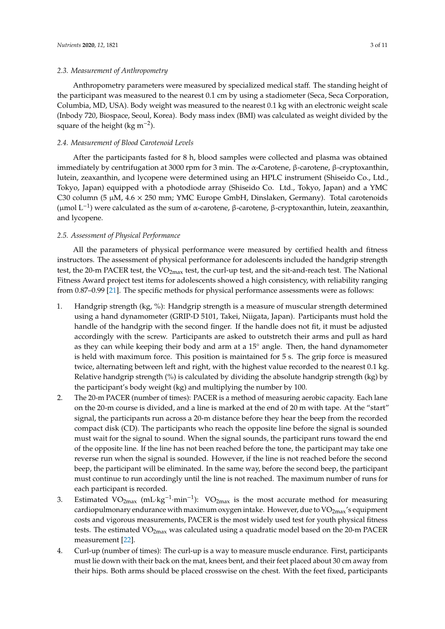#### *2.3. Measurement of Anthropometry*

Anthropometry parameters were measured by specialized medical staff. The standing height of the participant was measured to the nearest 0.1 cm by using a stadiometer (Seca, Seca Corporation, Columbia, MD, USA). Body weight was measured to the nearest 0.1 kg with an electronic weight scale (Inbody 720, Biospace, Seoul, Korea). Body mass index (BMI) was calculated as weight divided by the square of the height (kg m<sup>-2</sup>).

#### *2.4. Measurement of Blood Carotenoid Levels*

After the participants fasted for 8 h, blood samples were collected and plasma was obtained immediately by centrifugation at 3000 rpm for 3 min. The α-Carotene, β-carotene, β-cryptoxanthin, lutein, zeaxanthin, and lycopene were determined using an HPLC instrument (Shiseido Co., Ltd., Tokyo, Japan) equipped with a photodiode array (Shiseido Co. Ltd., Tokyo, Japan) and a YMC C30 column (5  $\mu$ M, 4.6  $\times$  250 mm; YMC Europe GmbH, Dinslaken, Germany). Total carotenoids (µmol L−<sup>1</sup> ) were calculated as the sum of α-carotene, β-carotene, β-cryptoxanthin, lutein, zeaxanthin, and lycopene.

#### *2.5. Assessment of Physical Performance*

All the parameters of physical performance were measured by certified health and fitness instructors. The assessment of physical performance for adolescents included the handgrip strength test, the 20-m PACER test, the  $VO_{2max}$  test, the curl-up test, and the sit-and-reach test. The National Fitness Award project test items for adolescents showed a high consistency, with reliability ranging from 0.87–0.99 [\[21\]](#page-9-18). The specific methods for physical performance assessments were as follows:

- 1. Handgrip strength (kg, %): Handgrip strength is a measure of muscular strength determined using a hand dynamometer (GRIP-D 5101, Takei, Niigata, Japan). Participants must hold the handle of the handgrip with the second finger. If the handle does not fit, it must be adjusted accordingly with the screw. Participants are asked to outstretch their arms and pull as hard as they can while keeping their body and arm at a 15◦ angle. Then, the hand dynamometer is held with maximum force. This position is maintained for 5 s. The grip force is measured twice, alternating between left and right, with the highest value recorded to the nearest 0.1 kg. Relative handgrip strength (%) is calculated by dividing the absolute handgrip strength (kg) by the participant's body weight (kg) and multiplying the number by 100.
- 2. The 20-m PACER (number of times): PACER is a method of measuring aerobic capacity. Each lane on the 20-m course is divided, and a line is marked at the end of 20 m with tape. At the "start" signal, the participants run across a 20-m distance before they hear the beep from the recorded compact disk (CD). The participants who reach the opposite line before the signal is sounded must wait for the signal to sound. When the signal sounds, the participant runs toward the end of the opposite line. If the line has not been reached before the tone, the participant may take one reverse run when the signal is sounded. However, if the line is not reached before the second beep, the participant will be eliminated. In the same way, before the second beep, the participant must continue to run accordingly until the line is not reached. The maximum number of runs for each participant is recorded.
- 3. Estimated VO<sub>2max</sub> (mL·kg<sup>-1</sup>·min<sup>-1</sup>): VO<sub>2max</sub> is the most accurate method for measuring cardiopulmonary endurance with maximum oxygen intake. However, due to  $VO<sub>2max</sub>$ 's equipment costs and vigorous measurements, PACER is the most widely used test for youth physical fitness tests. The estimated  $VO<sub>2max</sub>$  was calculated using a quadratic model based on the 20-m PACER measurement [\[22\]](#page-9-19).
- 4. Curl-up (number of times): The curl-up is a way to measure muscle endurance. First, participants must lie down with their back on the mat, knees bent, and their feet placed about 30 cm away from their hips. Both arms should be placed crosswise on the chest. With the feet fixed, participants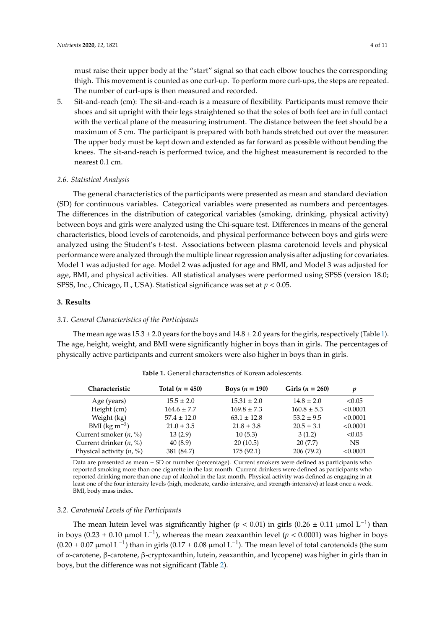must raise their upper body at the "start" signal so that each elbow touches the corresponding thigh. This movement is counted as one curl-up. To perform more curl-ups, the steps are repeated. The number of curl-ups is then measured and recorded.

5. Sit-and-reach (cm): The sit-and-reach is a measure of flexibility. Participants must remove their shoes and sit upright with their legs straightened so that the soles of both feet are in full contact with the vertical plane of the measuring instrument. The distance between the feet should be a maximum of 5 cm. The participant is prepared with both hands stretched out over the measurer. The upper body must be kept down and extended as far forward as possible without bending the knees. The sit-and-reach is performed twice, and the highest measurement is recorded to the nearest 0.1 cm.

#### *2.6. Statistical Analysis*

The general characteristics of the participants were presented as mean and standard deviation (SD) for continuous variables. Categorical variables were presented as numbers and percentages. The differences in the distribution of categorical variables (smoking, drinking, physical activity) between boys and girls were analyzed using the Chi-square test. Differences in means of the general characteristics, blood levels of carotenoids, and physical performance between boys and girls were analyzed using the Student's *t*-test. Associations between plasma carotenoid levels and physical performance were analyzed through the multiple linear regression analysis after adjusting for covariates. Model 1 was adjusted for age. Model 2 was adjusted for age and BMI, and Model 3 was adjusted for age, BMI, and physical activities. All statistical analyses were performed using SPSS (version 18.0; SPSS, Inc., Chicago, IL, USA). Statistical significance was set at *p* < 0.05.

#### **3. Results**

#### *3.1. General Characteristics of the Participants*

The mean age was  $15.3 \pm 2.0$  years for the boys and  $14.8 \pm 2.0$  years for the girls, respectively (Table [1\)](#page-3-0). The age, height, weight, and BMI were significantly higher in boys than in girls. The percentages of physically active participants and current smokers were also higher in boys than in girls.

<span id="page-3-0"></span>

| Characteristic             | Total $(n = 450)$ | Boys $(n = 190)$ | Girls $(n = 260)$ | p         |
|----------------------------|-------------------|------------------|-------------------|-----------|
| Age (years)                | $15.5 \pm 2.0$    | $15.31 \pm 2.0$  | $14.8 \pm 2.0$    | < 0.05    |
| Height (cm)                | $164.6 \pm 7.7$   | $169.8 \pm 7.3$  | $160.8 \pm 5.3$   | < 0.0001  |
| Weight (kg)                | $57.4 \pm 12.0$   | $63.1 \pm 12.8$  | $53.2 \pm 9.5$    | < 0.0001  |
| BMI ( $\text{kg m}^{-2}$ ) | $21.0 \pm 3.5$    | $21.8 \pm 3.8$   | $20.5 \pm 3.1$    | < 0.0001  |
| Current smoker $(n, %)$    | 13(2.9)           | 10(5.3)          | 3(1.2)            | < 0.05    |
| Current drinker $(n, %)$   | 40(8.9)           | 20(10.5)         | 20(7.7)           | <b>NS</b> |
| Physical activity $(n, %)$ | 381 (84.7)        | 175 (92.1)       | 206 (79.2)        | < 0.0001  |

**Table 1.** General characteristics of Korean adolescents.

Data are presented as mean ± SD or number (percentage). Current smokers were defined as participants who reported smoking more than one cigarette in the last month. Current drinkers were defined as participants who reported drinking more than one cup of alcohol in the last month. Physical activity was defined as engaging in at least one of the four intensity levels (high, moderate, cardio-intensive, and strength-intensive) at least once a week. BMI, body mass index.

#### *3.2. Carotenoid Levels of the Participants*

The mean lutein level was significantly higher ( $p < 0.01$ ) in girls (0.26 ± 0.11 µmol L<sup>-1</sup>) than in boys (0.23 ± 0.10 μmol L<sup>-1</sup>), whereas the mean zeaxanthin level (*p* < 0.0001) was higher in boys  $(0.20 \pm 0.07 \,\mu\text{mol L}^{-1})$  than in girls  $(0.17 \pm 0.08 \,\mu\text{mol L}^{-1})$ . The mean level of total carotenoids (the sum of α-carotene, β-carotene, β-cryptoxanthin, lutein, zeaxanthin, and lycopene) was higher in girls than in boys, but the difference was not significant (Table [2\)](#page-4-0).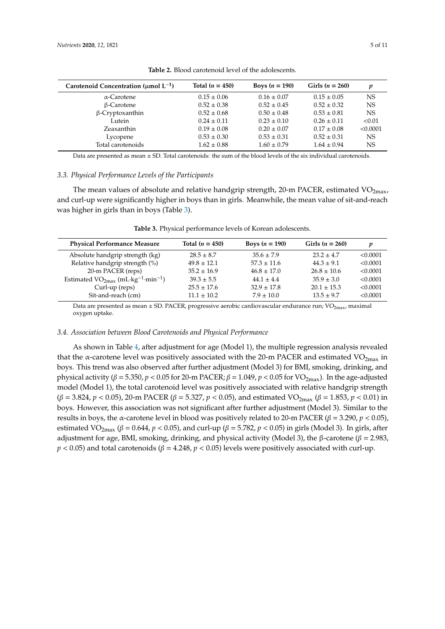<span id="page-4-0"></span>

| Carotenoid Concentration ( $\mu$ mol L <sup>-1</sup> ) | Total $(n = 450)$ | Boys $(n = 190)$ | Girls $(n = 260)$ | v        |
|--------------------------------------------------------|-------------------|------------------|-------------------|----------|
| $\alpha$ -Carotene                                     | $0.15 \pm 0.06$   | $0.16 \pm 0.07$  | $0.15 \pm 0.05$   | NS       |
| $\beta$ -Carotene                                      | $0.52 \pm 0.38$   | $0.52 \pm 0.45$  | $0.52 \pm 0.32$   | NS       |
| $\beta$ -Cryptoxanthin                                 | $0.52 \pm 0.68$   | $0.50 \pm 0.48$  | $0.53 \pm 0.81$   | NS       |
| Lutein                                                 | $0.24 \pm 0.11$   | $0.23 \pm 0.10$  | $0.26 \pm 0.11$   | < 0.01   |
| Zeaxanthin                                             | $0.19 \pm 0.08$   | $0.20 \pm 0.07$  | $0.17 \pm 0.08$   | < 0.0001 |
| Lycopene                                               | $0.53 \pm 0.30$   | $0.53 \pm 0.31$  | $0.52 \pm 0.31$   | NS       |
| Total carotenoids                                      | $1.62 \pm 0.88$   | $1.60 \pm 0.79$  | $1.64 \pm 0.94$   | NS       |
|                                                        |                   |                  |                   |          |

**Table 2.** Blood carotenoid level of the adolescents.

Data are presented as mean ± SD. Total carotenoids: the sum of the blood levels of the six individual carotenoids.

#### *3.3. Physical Performance Levels of the Participants*

The mean values of absolute and relative handgrip strength, 20-m PACER, estimated  $VO<sub>2max</sub>$ , and curl-up were significantly higher in boys than in girls. Meanwhile, the mean value of sit-and-reach was higher in girls than in boys (Table [3\)](#page-4-1).

<span id="page-4-1"></span>

| <b>Physical Performance Measure</b>                             | Total $(n = 450)$ | Boys $(n = 190)$ | Girls $(n = 260)$ | p        |
|-----------------------------------------------------------------|-------------------|------------------|-------------------|----------|
| Absolute handgrip strength (kg)                                 | $28.5 \pm 8.7$    | $35.6 \pm 7.9$   | $23.2 \pm 4.7$    | < 0.0001 |
| Relative handgrip strength (%)                                  | $49.8 \pm 12.1$   | $57.3 \pm 11.6$  | $44.3 \pm 9.1$    | < 0.0001 |
| 20-m PACER (reps)                                               | $35.2 \pm 16.9$   | $46.8 \pm 17.0$  | $26.8 \pm 10.6$   | < 0.0001 |
| Estimated $VO_{2max}$ (mL·kg <sup>-1</sup> ·min <sup>-1</sup> ) | $39.3 \pm 5.5$    | $44.1 + 4.4$     | $35.9 \pm 3.0$    | < 0.0001 |
| Curl-up (reps)                                                  | $25.5 \pm 17.6$   | $32.9 \pm 17.8$  | $20.1 \pm 15.3$   | < 0.0001 |
| Sit-and-reach (cm)                                              | $11.1 \pm 10.2$   | $7.9 \pm 10.0$   | $13.5 \pm 9.7$    | < 0.0001 |

**Table 3.** Physical performance levels of Korean adolescents.

Data are presented as mean ± SD. PACER, progressive aerobic cardiovascular endurance run; VO<sub>2max</sub>, maximal oxygen uptake.

#### *3.4. Association between Blood Carotenoids and Physical Performance*

As shown in Table [4,](#page-6-0) after adjustment for age (Model 1), the multiple regression analysis revealed that the  $\alpha$ -carotene level was positively associated with the 20-m PACER and estimated VO<sub>2max</sub> in boys. This trend was also observed after further adjustment (Model 3) for BMI, smoking, drinking, and physical activity ( $β = 5.350$ ,  $p < 0.05$  for 20-m PACER;  $β = 1.049$ ,  $p < 0.05$  for VO<sub>2max</sub>). In the age-adjusted model (Model 1), the total carotenoid level was positively associated with relative handgrip strength  $(β = 3.824, p < 0.05)$ , 20-m PACER ( $β = 5.327, p < 0.05$ ), and estimated VO<sub>2max</sub> ( $β = 1.853, p < 0.01$ ) in boys. However, this association was not significant after further adjustment (Model 3). Similar to the results in boys, the α-carotene level in blood was positively related to 20-m PACER (β = 3.290, *p* < 0.05), estimated VO<sub>2max</sub> ( $\beta$  = 0.644,  $p$  < 0.05), and curl-up ( $\beta$  = 5.782,  $p$  < 0.05) in girls (Model 3). In girls, after adjustment for age, BMI, smoking, drinking, and physical activity (Model 3), the β-carotene ( $β = 2.983$ ,  $p < 0.05$ ) and total carotenoids ( $\beta = 4.248$ ,  $p < 0.05$ ) levels were positively associated with curl-up.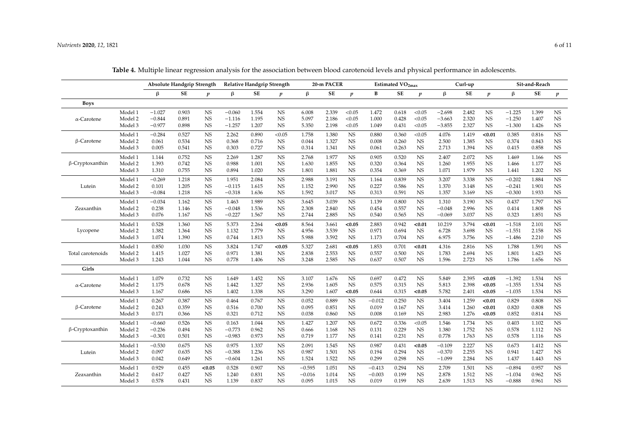|                        |         | <b>Absolute Handgrip Strength</b> |       |                  | Relative Handgrip Strength |       |                  | 20-m PACER |       |                  | Estimated VO <sub>2max</sub> |       |                  | Curl-up  |       |                  | Sit-and-Reach |       |             |
|------------------------|---------|-----------------------------------|-------|------------------|----------------------------|-------|------------------|------------|-------|------------------|------------------------------|-------|------------------|----------|-------|------------------|---------------|-------|-------------|
|                        |         | $\beta$                           | SE    | $\boldsymbol{p}$ | $\beta$                    | SE    | $\boldsymbol{p}$ | $\beta$    | SE    | $\boldsymbol{p}$ | В                            | SE    | $\boldsymbol{p}$ | β        | SE    | $\boldsymbol{p}$ | β             | SE    | p           |
| <b>Boys</b>            |         |                                   |       |                  |                            |       |                  |            |       |                  |                              |       |                  |          |       |                  |               |       |             |
|                        | Model 1 | $-1.027$                          | 0.903 | <b>NS</b>        | $-0.060$                   | 1.554 | <b>NS</b>        | 6.008      | 2.339 | < 0.05           | 1.472                        | 0.618 | < 0.05           | $-2.698$ | 2.482 | <b>NS</b>        | $-1.225$      | 1.399 | <b>NS</b>   |
| $\alpha$ -Carotene     | Model 2 | $-0.844$                          | 0.891 | <b>NS</b>        | $-1.116$                   | 1.195 | <b>NS</b>        | 5.097      | 2.186 | < 0.05           | 1.000                        | 0.428 | < 0.05           | $-3.663$ | 2.320 | <b>NS</b>        | $-1.250$      | 1.407 | <b>NS</b>   |
|                        | Model 3 | $-0.977$                          | 0.898 | <b>NS</b>        | $-1.257$                   | 1.207 | <b>NS</b>        | 5.350      | 2.198 | < 0.05           | 1.049                        | 0.431 | < 0.05           | $-3.855$ | 2.327 | <b>NS</b>        | $-1.300$      | 1.426 | <b>NS</b>   |
|                        | Model 1 | $-0.284$                          | 0.527 | $_{\rm NS}$      | 2.262                      | 0.890 | < 0.05           | 1.758      | 1.380 | $_{\rm NS}$      | 0.880                        | 0.360 | < 0.05           | 4.076    | 1.419 | < 0.01           | 0.385         | 0.816 | $_{\rm NS}$ |
| $\beta$ -Carotene      | Model 2 | 0.061                             | 0.534 | <b>NS</b>        | 0.368                      | 0.716 | <b>NS</b>        | 0.044      | 1.327 | $_{\rm NS}$      | 0.008                        | 0.260 | <b>NS</b>        | 2.500    | 1.385 | <b>NS</b>        | 0.374         | 0.843 | <b>NS</b>   |
|                        | Model 3 | 0.005                             | 0.541 | $_{\rm NS}$      | 0.303                      | 0.727 | $_{\rm NS}$      | 0.314      | 1.341 | $_{\rm NS}$      | 0.061                        | 0.263 | <b>NS</b>        | 2.713    | 1.394 | <b>NS</b>        | 0.415         | 0.858 | $_{\rm NS}$ |
|                        | Model 1 | 1.144                             | 0.752 | $_{\rm NS}$      | 2.269                      | 1.287 | $_{\rm NS}$      | 2.768      | 1.977 | $_{\rm NS}$      | 0.905                        | 0.520 | <b>NS</b>        | 2.407    | 2.072 | <b>NS</b>        | 1.469         | 1.166 | $_{\rm NS}$ |
| $\beta$ -Cryptoxanthin | Model 2 | 1.393                             | 0.742 | <b>NS</b>        | 0.988                      | 1.001 | $_{\rm NS}$      | 1.630      | 1.855 | $_{\rm NS}$      | 0.320                        | 0.364 | <b>NS</b>        | 1.260    | 1.955 | <b>NS</b>        | 1.466         | 1.177 | <b>NS</b>   |
|                        | Model 3 | 1.310                             | 0.755 | <b>NS</b>        | 0.894                      | 1.020 | <b>NS</b>        | 1.801      | 1.881 | NS               | 0.354                        | 0.369 | <b>NS</b>        | 1.071    | 1.979 | <b>NS</b>        | 1.441         | 1.202 | <b>NS</b>   |
|                        | Model 1 | $-0.269$                          | 1.218 | <b>NS</b>        | 1.951                      | 2.084 | $_{\rm NS}$      | 2.988      | 3.191 | $_{\rm NS}$      | 1.164                        | 0.839 | <b>NS</b>        | 3.207    | 3.338 | <b>NS</b>        | $-0.202$      | 1.884 | $_{\rm NS}$ |
| Lutein                 | Model 2 | 0.101                             | 1.205 | <b>NS</b>        | $-0.115$                   | 1.615 | NS               | 1.152      | 2.990 | NS               | 0.227                        | 0.586 | NS               | 1.370    | 3.148 | <b>NS</b>        | $-0.241$      | 1.901 | $_{\rm NS}$ |
|                        | Model 3 | $-0.084$                          | 1.218 | <b>NS</b>        | $-0.318$                   | 1.636 | $_{\rm NS}$      | 1.592      | 3.017 | $_{\rm NS}$      | 0.313                        | 0.591 | <b>NS</b>        | 1.357    | 3.169 | <b>NS</b>        | $-0.300$      | 1.933 | <b>NS</b>   |
|                        | Model 1 | $-0.034$                          | 1.162 | <b>NS</b>        | 1.463                      | 1.989 | <b>NS</b>        | 3.645      | 3.039 | NS               | 1.139                        | 0.800 | NS               | 1.310    | 3.190 | <b>NS</b>        | 0.437         | 1.797 | NS          |
| Zeaxanthin             | Model 2 | 0.238                             | 1.146 | <b>NS</b>        | $-0.048$                   | 1.536 | $_{\rm NS}$      | 2.308      | 2.840 | $_{\rm NS}$      | 0.454                        | 0.557 | <b>NS</b>        | $-0.048$ | 2.996 | <b>NS</b>        | 0.414         | 1.808 | <b>NS</b>   |
|                        | Model 3 | 0.076                             | 1.167 | <b>NS</b>        | $-0.227$                   | 1.567 | $_{\rm NS}$      | 2.744      | 2.885 | NS               | 0.540                        | 0.565 | <b>NS</b>        | $-0.069$ | 3.037 | <b>NS</b>        | 0.323         | 1.851 | <b>NS</b>   |
|                        | Model 1 | 0.528                             | 1.360 | $_{\rm NS}$      | 5.373                      | 2.264 | < 0.05           | 8.564      | 3.661 | < 0.05           | 2.883                        | 0.942 | < 0.01           | 10.219   | 3.794 | < 0.01           | $-1.518$      | 2.101 | $_{\rm NS}$ |
| Lycopene               | Model 2 | 1.382                             | 1.364 | $_{\rm NS}$      | 1.132                      | 1.779 | $_{\rm NS}$      | 4.956      | 3.539 | $_{\rm NS}$      | 0.971                        | 0.694 | <b>NS</b>        | 6.728    | 3.698 | <b>NS</b>        | $-1.551$      | 2.158 | NS          |
|                        | Model 3 | 1.074                             | 1.390 | $_{\rm NS}$      | 0.744                      | 1.813 | $_{\rm NS}$      | 5.988      | 3.592 | $_{\rm NS}$      | 1.173                        | 0.704 | <b>NS</b>        | 6.975    | 3.756 | <b>NS</b>        | $-1.486$      | 2.210 | <b>NS</b>   |
|                        | Model 1 | 0.850                             | 1.030 | $_{\rm NS}$      | 3.824                      | 1.747 | < 0.05           | 5.327      | 2.681 | < 0.05           | 1.853                        | 0.701 | < 0.01           | 4.316    | 2.816 | <b>NS</b>        | 1.788         | 1.591 | $_{\rm NS}$ |
| Total carotenoids      | Model 2 | 1.415                             | 1.027 | <b>NS</b>        | 0.971                      | 1.381 | $_{\rm NS}$      | 2.838      | 2.553 | <b>NS</b>        | 0.557                        | 0.500 | <b>NS</b>        | 1.783    | 2.694 | <b>NS</b>        | 1.801         | 1.623 | <b>NS</b>   |
|                        | Model 3 | 1.243                             | 1.044 | $_{\rm NS}$      | 0.778                      | 1.406 | $_{\rm NS}$      | 3.248      | 2.585 | <b>NS</b>        | 0.637                        | 0.507 | <b>NS</b>        | 1.596    | 2.723 | <b>NS</b>        | 1.786         | 1.656 | <b>NS</b>   |
| Girls                  |         |                                   |       |                  |                            |       |                  |            |       |                  |                              |       |                  |          |       |                  |               |       |             |
|                        | Model 1 | 1.079                             | 0.732 | $_{\rm NS}$      | 1.649                      | 1.452 | $_{\rm NS}$      | 3.107      | 1.676 | <b>NS</b>        | 0.697                        | 0.472 | <b>NS</b>        | 5.849    | 2.395 | < 0.05           | $-1.392$      | 1.534 | <b>NS</b>   |
| $\alpha$ -Carotene     | Model 2 | 1.175                             | 0.678 | <b>NS</b>        | 1.442                      | 1.327 | <b>NS</b>        | 2.936      | 1.605 | <b>NS</b>        | 0.575                        | 0.315 | NS               | 5.813    | 2.398 | < 0.05           | $-1.355$      | 1.534 | <b>NS</b>   |
|                        | Model 3 | 1.167                             | 0.686 | <b>NS</b>        | 1.402                      | 1.338 | <b>NS</b>        | 3.290      | 1.607 | < 0.05           | 0.644                        | 0.315 | < 0.05           | 5.782    | 2.401 | < 0.05           | $-1.035$      | 1.534 | $_{\rm NS}$ |
|                        | Model 1 | 0.267                             | 0.387 | <b>NS</b>        | 0.464                      | 0.767 | $_{\rm NS}$      | 0.052      | 0.889 | NS               | $-0.012$                     | 0.250 | <b>NS</b>        | 3.404    | 1.259 | < 0.01           | 0.829         | 0.808 | <b>NS</b>   |
| $\beta$ -Carotene      | Model 2 | 0.243                             | 0.359 | <b>NS</b>        | 0.516                      | 0.700 | $_{\rm NS}$      | 0.095      | 0.851 | $_{\rm NS}$      | 0.019                        | 0.167 | <b>NS</b>        | 3.414    | 1.260 | < 0.01           | 0.820         | 0.808 | <b>NS</b>   |
|                        | Model 3 | 0.171                             | 0.366 | <b>NS</b>        | 0.321                      | 0.712 | $_{\rm NS}$      | 0.038      | 0.860 | $_{\rm NS}$      | 0.008                        | 0.169 | <b>NS</b>        | 2.983    | 1.276 | < 0.05           | 0.852         | 0.814 | <b>NS</b>   |
|                        | Model 1 | $-0.660$                          | 0.526 | <b>NS</b>        | 0.163                      | 1.044 | $_{\rm NS}$      | 1.427      | 1.207 | $_{\rm NS}$      | 0.672                        | 0.336 | < 0.05           | 1.546    | 1.734 | <b>NS</b>        | 0.403         | 1.102 | $_{\rm NS}$ |
| $\beta$ -Cryptoxanthin | Model 2 | $-0.236$                          | 0.494 | <b>NS</b>        | $-0.773$                   | 0.962 | $_{\rm NS}$      | 0.666      | 1.168 | $_{\rm NS}$      | 0.131                        | 0.229 | <b>NS</b>        | 1.380    | 1.752 | <b>NS</b>        | 0.578         | 1.112 | <b>NS</b>   |
|                        | Model 3 | $-0.301$                          | 0.501 | <b>NS</b>        | $-0.983$                   | 0.973 | $_{\rm NS}$      | 0.719      | 1.177 | NS               | 0.141                        | 0.231 | <b>NS</b>        | 0.778    | 1.763 | <b>NS</b>        | 0.578         | 1.116 | <b>NS</b>   |
|                        | Model 1 | $-0.530$                          | 0.675 | <b>NS</b>        | 0.975                      | 1.337 | $_{\rm NS}$      | 2.091      | 1.545 | <b>NS</b>        | 0.987                        | 0.431 | < 0.05           | $-0.109$ | 2.227 | <b>NS</b>        | 0.673         | 1.412 | $_{\rm NS}$ |
| Lutein                 | Model 2 | 0.097                             | 0.635 | <b>NS</b>        | $-0.388$                   | 1.236 | $_{\rm NS}$      | 0.987      | 1.501 | <b>NS</b>        | 0.194                        | 0.294 | <b>NS</b>        | $-0.370$ | 2.255 | <b>NS</b>        | 0.941         | 1.427 | <b>NS</b>   |
|                        | Model 3 | 0.042                             | 0.649 | <b>NS</b>        | $-0.604$                   | 1.261 | $_{\rm NS}$      | 1.524      | 1.522 | <b>NS</b>        | 0.299                        | 0.298 | <b>NS</b>        | $-1.099$ | 2.284 | <b>NS</b>        | 1.437         | 1.443 | <b>NS</b>   |
|                        | Model 1 | 0.929                             | 0.455 | < 0.05           | 0.528                      | 0.907 | NS               | $-0.595$   | 1.051 | $_{\rm NS}$      | $-0.413$                     | 0.294 | <b>NS</b>        | 2.709    | 1.501 | <b>NS</b>        | $-0.894$      | 0.957 | $_{\rm NS}$ |
| Zeaxanthin             | Model 2 | 0.617                             | 0.427 | <b>NS</b>        | 1.240                      | 0.831 | $_{\rm NS}$      | $-0.016$   | 1.014 | $_{\rm NS}$      | $-0.003$                     | 0.199 | <b>NS</b>        | 2.878    | 1.512 | <b>NS</b>        | $-1.034$      | 0.962 | <b>NS</b>   |
|                        | Model 3 | 0.578                             | 0.431 | <b>NS</b>        | 1.139                      | 0.837 | <b>NS</b>        | 0.095      | 1.015 | <b>NS</b>        | 0.019                        | 0.199 | <b>NS</b>        | 2.639    | 1.513 | <b>NS</b>        | $-0.888$      | 0.961 | <b>NS</b>   |

**Table 4.** Multiple linear regression analysis for the association between blood carotenoid levels and physical performance in adolescents.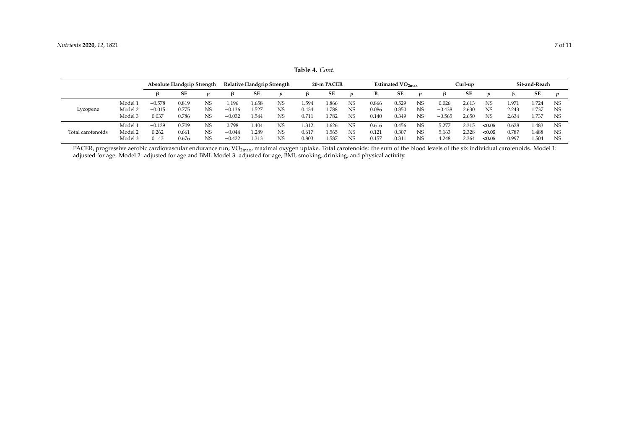|                   |         | Absolute Handgrip Strength |       |    | <b>Relative Handgrip Strength</b> |       |           |       | 20-m PACER |                |       | Estimated $VO2max$ |                |          | Curl-up |           |                | Sit-and-Reach |                  |  |
|-------------------|---------|----------------------------|-------|----|-----------------------------------|-------|-----------|-------|------------|----------------|-------|--------------------|----------------|----------|---------|-----------|----------------|---------------|------------------|--|
|                   |         |                            | SE    |    | 15.                               | SE    |           |       | SE         |                | ь     | SE                 |                | ß        | SE      |           | ß              | SE            | $\boldsymbol{n}$ |  |
|                   | Model 1 | $-0.578$                   | 0.819 | NS | .196                              | 1.658 | <b>NS</b> | .594  | l.866      | <b>NS</b>      | 0.866 | 0.529              | <b>NS</b>      | 0.026    | 2.613   | <b>NS</b> | $1.97^{\circ}$ | .724          | <b>NS</b>        |  |
| Lycopene          | Model 2 | $-0.015$                   | 0.775 | NS | $-0.136$                          | 1.527 | <b>NS</b> | 0.434 | 788        | <b>NS</b>      | 0.086 | 0.350              | <b>NS</b>      | $-0.438$ | 2.630   | <b>NS</b> | 2.243          | 1.737         | <b>NS</b>        |  |
|                   | Model 3 | 0.037                      | 0.786 | NS | $-0.032$                          | 1.544 | <b>NS</b> | 0.71  | 1.782      | <b>NS</b>      | 0.140 | 0.349              | <b>NS</b>      | $-0.565$ | 2.650   | <b>NS</b> | 2.634          | 1.737         | <b>NS</b>        |  |
| Total carotenoids | Model 1 | $-0.129$                   | 0.709 | NS | 0.798                             | 1.404 | <b>NS</b> | .312  | 1.626      | N <sub>S</sub> | 0.616 | 0.456              | NS             | 5.277    | 2.315   | < 0.05    | 0.628          | 1.483         | NS.              |  |
|                   | Model 2 | 0.262                      | 0.661 | NS | $-0.044$                          | . 289 | <b>NS</b> | 0.617 | l.565      | N <sub>S</sub> | 0.121 | 0.307              | N <sub>S</sub> | 5.163    | 2.328   | < 0.05    | 0.787          | 1.488         | <b>NS</b>        |  |
|                   | Model 3 | 0.143                      | 0.676 | NS | $-0.422$                          | 1.313 | <b>NS</b> | 0.803 | 1.587      | <b>NS</b>      | 0.157 | 0.31               | NS             | 4.248    | 2.364   | < 0.05    | 0.997          | 1.504         | <b>NS</b>        |  |

**Table 4.** *Cont.*

<span id="page-6-0"></span>PACER, progressive aerobic cardiovascular endurance run;  $VO_{2max}$ , maximal oxygen uptake. Total carotenoids: the sum of the blood levels of the six individual carotenoids. Model 1: adjusted for age. Model 2: adjusted for age and BMI. Model 3: adjusted for age, BMI, smoking, drinking, and physical activity.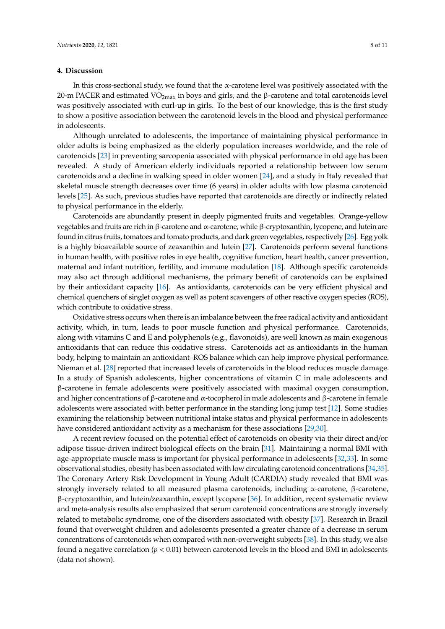#### **4. Discussion**

In this cross-sectional study, we found that the α-carotene level was positively associated with the 20-m PACER and estimated VO<sub>2max</sub> in boys and girls, and the β-carotene and total carotenoids level was positively associated with curl-up in girls. To the best of our knowledge, this is the first study to show a positive association between the carotenoid levels in the blood and physical performance in adolescents.

Although unrelated to adolescents, the importance of maintaining physical performance in older adults is being emphasized as the elderly population increases worldwide, and the role of carotenoids [\[23\]](#page-9-20) in preventing sarcopenia associated with physical performance in old age has been revealed. A study of American elderly individuals reported a relationship between low serum carotenoids and a decline in walking speed in older women [\[24\]](#page-10-0), and a study in Italy revealed that skeletal muscle strength decreases over time (6 years) in older adults with low plasma carotenoid levels [\[25\]](#page-10-1). As such, previous studies have reported that carotenoids are directly or indirectly related to physical performance in the elderly.

Carotenoids are abundantly present in deeply pigmented fruits and vegetables. Orange-yellow vegetables and fruits are rich in β-carotene and α-carotene, while β-cryptoxanthin, lycopene, and lutein are found in citrus fruits, tomatoes and tomato products, and dark green vegetables, respectively [\[26\]](#page-10-2). Egg yolk is a highly bioavailable source of zeaxanthin and lutein [\[27\]](#page-10-3). Carotenoids perform several functions in human health, with positive roles in eye health, cognitive function, heart health, cancer prevention, maternal and infant nutrition, fertility, and immune modulation [\[18\]](#page-9-21). Although specific carotenoids may also act through additional mechanisms, the primary benefit of carotenoids can be explained by their antioxidant capacity [\[16\]](#page-9-15). As antioxidants, carotenoids can be very efficient physical and chemical quenchers of singlet oxygen as well as potent scavengers of other reactive oxygen species (ROS), which contribute to oxidative stress.

Oxidative stress occurs when there is an imbalance between the free radical activity and antioxidant activity, which, in turn, leads to poor muscle function and physical performance. Carotenoids, along with vitamins C and E and polyphenols (e.g., flavonoids), are well known as main exogenous antioxidants that can reduce this oxidative stress. Carotenoids act as antioxidants in the human body, helping to maintain an antioxidant–ROS balance which can help improve physical performance. Nieman et al. [\[28\]](#page-10-4) reported that increased levels of carotenoids in the blood reduces muscle damage. In a study of Spanish adolescents, higher concentrations of vitamin C in male adolescents and β-carotene in female adolescents were positively associated with maximal oxygen consumption, and higher concentrations of β-carotene and α-tocopherol in male adolescents and β-carotene in female adolescents were associated with better performance in the standing long jump test [\[12\]](#page-9-11). Some studies examining the relationship between nutritional intake status and physical performance in adolescents have considered antioxidant activity as a mechanism for these associations [\[29,](#page-10-5)[30\]](#page-10-6).

A recent review focused on the potential effect of carotenoids on obesity via their direct and/or adipose tissue-driven indirect biological effects on the brain [\[31\]](#page-10-7). Maintaining a normal BMI with age-appropriate muscle mass is important for physical performance in adolescents [\[32](#page-10-8)[,33\]](#page-10-9). In some observational studies, obesity has been associated with low circulating carotenoid concentrations [\[34](#page-10-10)[,35\]](#page-10-11). The Coronary Artery Risk Development in Young Adult (CARDIA) study revealed that BMI was strongly inversely related to all measured plasma carotenoids, including α-carotene, β-carotene, β-cryptoxanthin, and lutein/zeaxanthin, except lycopene [\[36\]](#page-10-12). In addition, recent systematic review and meta-analysis results also emphasized that serum carotenoid concentrations are strongly inversely related to metabolic syndrome, one of the disorders associated with obesity [\[37\]](#page-10-13). Research in Brazil found that overweight children and adolescents presented a greater chance of a decrease in serum concentrations of carotenoids when compared with non-overweight subjects [\[38\]](#page-10-14). In this study, we also found a negative correlation ( $p < 0.01$ ) between carotenoid levels in the blood and BMI in adolescents (data not shown).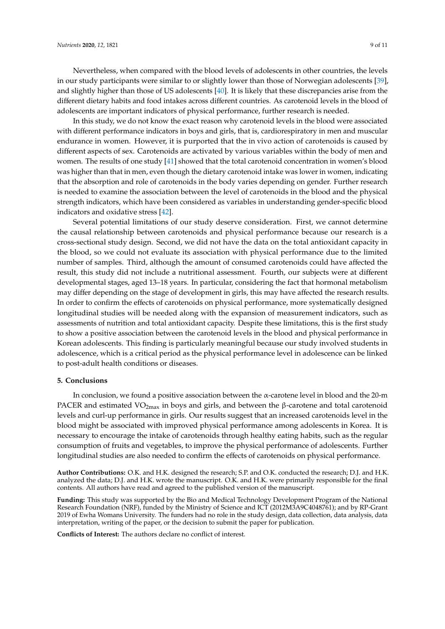In this study, we do not know the exact reason why carotenoid levels in the blood were associated with different performance indicators in boys and girls, that is, cardiorespiratory in men and muscular endurance in women. However, it is purported that the in vivo action of carotenoids is caused by different aspects of sex. Carotenoids are activated by various variables within the body of men and women. The results of one study [\[41\]](#page-10-17) showed that the total carotenoid concentration in women's blood was higher than that in men, even though the dietary carotenoid intake was lower in women, indicating that the absorption and role of carotenoids in the body varies depending on gender. Further research is needed to examine the association between the level of carotenoids in the blood and the physical strength indicators, which have been considered as variables in understanding gender-specific blood indicators and oxidative stress [\[42\]](#page-10-18).

Several potential limitations of our study deserve consideration. First, we cannot determine the causal relationship between carotenoids and physical performance because our research is a cross-sectional study design. Second, we did not have the data on the total antioxidant capacity in the blood, so we could not evaluate its association with physical performance due to the limited number of samples. Third, although the amount of consumed carotenoids could have affected the result, this study did not include a nutritional assessment. Fourth, our subjects were at different developmental stages, aged 13–18 years. In particular, considering the fact that hormonal metabolism may differ depending on the stage of development in girls, this may have affected the research results. In order to confirm the effects of carotenoids on physical performance, more systematically designed longitudinal studies will be needed along with the expansion of measurement indicators, such as assessments of nutrition and total antioxidant capacity. Despite these limitations, this is the first study to show a positive association between the carotenoid levels in the blood and physical performance in Korean adolescents. This finding is particularly meaningful because our study involved students in adolescence, which is a critical period as the physical performance level in adolescence can be linked to post-adult health conditions or diseases.

#### **5. Conclusions**

In conclusion, we found a positive association between the α-carotene level in blood and the 20-m PACER and estimated  $VO<sub>2max</sub>$  in boys and girls, and between the  $\beta$ -carotene and total carotenoid levels and curl-up performance in girls. Our results suggest that an increased carotenoids level in the blood might be associated with improved physical performance among adolescents in Korea. It is necessary to encourage the intake of carotenoids through healthy eating habits, such as the regular consumption of fruits and vegetables, to improve the physical performance of adolescents. Further longitudinal studies are also needed to confirm the effects of carotenoids on physical performance.

**Author Contributions:** O.K. and H.K. designed the research; S.P. and O.K. conducted the research; D.J. and H.K. analyzed the data; D.J. and H.K. wrote the manuscript. O.K. and H.K. were primarily responsible for the final contents. All authors have read and agreed to the published version of the manuscript.

**Funding:** This study was supported by the Bio and Medical Technology Development Program of the National Research Foundation (NRF), funded by the Ministry of Science and ICT (2012M3A9C4048761); and by RP-Grant 2019 of Ewha Womans University. The funders had no role in the study design, data collection, data analysis, data interpretation, writing of the paper, or the decision to submit the paper for publication.

**Conflicts of Interest:** The authors declare no conflict of interest.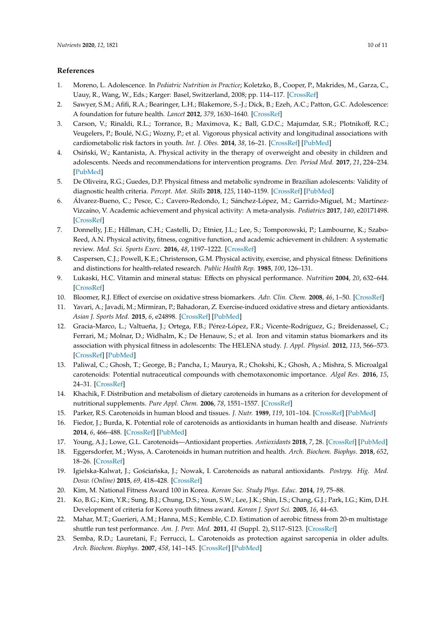#### **References**

- <span id="page-9-0"></span>1. Moreno, L. Adolescence. In *Pediatric Nutrition in Practice*; Koletzko, B., Cooper, P., Makrides, M., Garza, C., Uauy, R., Wang, W., Eds.; Karger: Basel, Switzerland, 2008; pp. 114–117. [\[CrossRef\]](http://dx.doi.org/10.1159/000155444)
- <span id="page-9-1"></span>2. Sawyer, S.M.; Afifi, R.A.; Bearinger, L.H.; Blakemore, S.-J.; Dick, B.; Ezeh, A.C.; Patton, G.C. Adolescence: A foundation for future health. *Lancet* **2012**, *379*, 1630–1640. [\[CrossRef\]](http://dx.doi.org/10.1016/S0140-6736(12)60072-5)
- <span id="page-9-2"></span>3. Carson, V.; Rinaldi, R.L.; Torrance, B.; Maximova, K.; Ball, G.D.C.; Majumdar, S.R.; Plotnikoff, R.C.; Veugelers, P.; Boulé, N.G.; Wozny, P.; et al. Vigorous physical activity and longitudinal associations with cardiometabolic risk factors in youth. *Int. J. Obes.* **2014**, *38*, 16–21. [\[CrossRef\]](http://dx.doi.org/10.1038/ijo.2013.135) [\[PubMed\]](http://www.ncbi.nlm.nih.gov/pubmed/23887061)
- <span id="page-9-3"></span>4. Osiński, W.; Kantanista, A. Physical activity in the therapy of overweight and obesity in children and adolescents. Needs and recommendations for intervention programs. *Dev. Period Med.* **2017**, *21*, 224–234. [\[PubMed\]](http://www.ncbi.nlm.nih.gov/pubmed/29077562)
- <span id="page-9-4"></span>5. De Oliveira, R.G.; Guedes, D.P. Physical fitness and metabolic syndrome in Brazilian adolescents: Validity of diagnostic health criteria. *Percept. Mot. Skills* **2018**, *125*, 1140–1159. [\[CrossRef\]](http://dx.doi.org/10.1177/0031512518799808) [\[PubMed\]](http://www.ncbi.nlm.nih.gov/pubmed/30217125)
- <span id="page-9-5"></span>6. Álvarez-Bueno, C.; Pesce, C.; Cavero-Redondo, I.; Sánchez-López, M.; Garrido-Miguel, M.; Martínez-Vizcaíno, V. Academic achievement and physical activity: A meta-analysis. *Pediatrics* **2017**, *140*, e20171498. [\[CrossRef\]](http://dx.doi.org/10.1542/peds.2017-1498)
- <span id="page-9-6"></span>7. Donnelly, J.E.; Hillman, C.H.; Castelli, D.; Etnier, J.L.; Lee, S.; Tomporowski, P.; Lambourne, K.; Szabo-Reed, A.N. Physical activity, fitness, cognitive function, and academic achievement in children: A systematic review. *Med. Sci. Sports Exerc.* **2016**, *48*, 1197–1222. [\[CrossRef\]](http://dx.doi.org/10.1249/MSS.0000000000000901)
- <span id="page-9-7"></span>8. Caspersen, C.J.; Powell, K.E.; Christenson, G.M. Physical activity, exercise, and physical fitness: Definitions and distinctions for health-related research. *Public Health Rep.* **1985**, *100*, 126–131.
- <span id="page-9-8"></span>9. Lukaski, H.C. Vitamin and mineral status: Effects on physical performance. *Nutrition* **2004**, *20*, 632–644. [\[CrossRef\]](http://dx.doi.org/10.1016/j.nut.2004.04.001)
- <span id="page-9-9"></span>10. Bloomer, R.J. Effect of exercise on oxidative stress biomarkers. *Adv. Clin. Chem.* **2008**, *46*, 1–50. [\[CrossRef\]](http://dx.doi.org/10.1016/S0065-2423(08)00401-0)
- <span id="page-9-10"></span>11. Yavari, A.; Javadi, M.; Mirmiran, P.; Bahadoran, Z. Exercise-induced oxidative stress and dietary antioxidants. *Asian J. Sports Med.* **2015**, *6*, e24898. [\[CrossRef\]](http://dx.doi.org/10.5812/asjsm.24898) [\[PubMed\]](http://www.ncbi.nlm.nih.gov/pubmed/25883776)
- <span id="page-9-11"></span>12. Gracia-Marco, L.; Valtueña, J.; Ortega, F.B.; Pérez-López, F.R.; Vicente-Rodríguez, G.; Breidenassel, C.; Ferrari, M.; Molnar, D.; Widhalm, K.; De Henauw, S.; et al. Iron and vitamin status biomarkers and its association with physical fitness in adolescents: The HELENA study. *J. Appl. Physiol.* **2012**, *113*, 566–573. [\[CrossRef\]](http://dx.doi.org/10.1152/japplphysiol.01492.2011) [\[PubMed\]](http://www.ncbi.nlm.nih.gov/pubmed/22723626)
- <span id="page-9-12"></span>13. Paliwal, C.; Ghosh, T.; George, B.; Pancha, I.; Maurya, R.; Chokshi, K.; Ghosh, A.; Mishra, S. Microalgal carotenoids: Potential nutraceutical compounds with chemotaxonomic importance. *Algal Res.* **2016**, *15*, 24–31. [\[CrossRef\]](http://dx.doi.org/10.1016/j.algal.2016.01.017)
- <span id="page-9-13"></span>14. Khachik, F. Distribution and metabolism of dietary carotenoids in humans as a criterion for development of nutritional supplements. *Pure Appl. Chem.* **2006**, *78*, 1551–1557. [\[CrossRef\]](http://dx.doi.org/10.1351/pac200678081551)
- <span id="page-9-14"></span>15. Parker, R.S. Carotenoids in human blood and tissues. *J. Nutr.* **1989**, *119*, 101–104. [\[CrossRef\]](http://dx.doi.org/10.1093/jn/119.1.101) [\[PubMed\]](http://www.ncbi.nlm.nih.gov/pubmed/2643690)
- <span id="page-9-15"></span>16. Fiedor, J.; Burda, K. Potential role of carotenoids as antioxidants in human health and disease. *Nutrients* **2014**, *6*, 466–488. [\[CrossRef\]](http://dx.doi.org/10.3390/nu6020466) [\[PubMed\]](http://www.ncbi.nlm.nih.gov/pubmed/24473231)
- 17. Young, A.J.; Lowe, G.L. Carotenoids—Antioxidant properties. *Antioxidants* **2018**, *7*, 28. [\[CrossRef\]](http://dx.doi.org/10.3390/antiox7020028) [\[PubMed\]](http://www.ncbi.nlm.nih.gov/pubmed/29439455)
- <span id="page-9-21"></span>18. Eggersdorfer, M.; Wyss, A. Carotenoids in human nutrition and health. *Arch. Biochem. Biophys.* **2018**, *652*, 18–26. [\[CrossRef\]](http://dx.doi.org/10.1016/j.abb.2018.06.001)
- <span id="page-9-16"></span>19. Igielska-Kalwat, J.; Gościańska, J.; Nowak, I. Carotenoids as natural antioxidants. Postepy. Hig. Med. *Dosw. (Online)* **2015**, *69*, 418–428. [\[CrossRef\]](http://dx.doi.org/10.5604/17322693.1148335)
- <span id="page-9-17"></span>20. Kim, M. National Fitness Award 100 in Korea. *Korean Soc. Study Phys. Educ.* **2014**, *19*, 75–88.
- <span id="page-9-18"></span>21. Ko, B.G.; Kim, Y.R.; Sung, B.J.; Chung, D.S.; Youn, S.W.; Lee, J.K.; Shin, I.S.; Chang, G.J.; Park, I.G.; Kim, D.H. Development of criteria for Korea youth fitness award. *Korean J. Sport Sci.* **2005**, *16*, 44–63.
- <span id="page-9-19"></span>22. Mahar, M.T.; Guerieri, A.M.; Hanna, M.S.; Kemble, C.D. Estimation of aerobic fitness from 20-m multistage shuttle run test performance. *Am. J. Prev. Med.* **2011**, *41* (Suppl. 2), S117–S123. [\[CrossRef\]](http://dx.doi.org/10.1016/j.amepre.2011.07.008)
- <span id="page-9-20"></span>23. Semba, R.D.; Lauretani, F.; Ferrucci, L. Carotenoids as protection against sarcopenia in older adults. *Arch. Biochem. Biophys.* **2007**, *458*, 141–145. [\[CrossRef\]](http://dx.doi.org/10.1016/j.abb.2006.11.025) [\[PubMed\]](http://www.ncbi.nlm.nih.gov/pubmed/17196927)